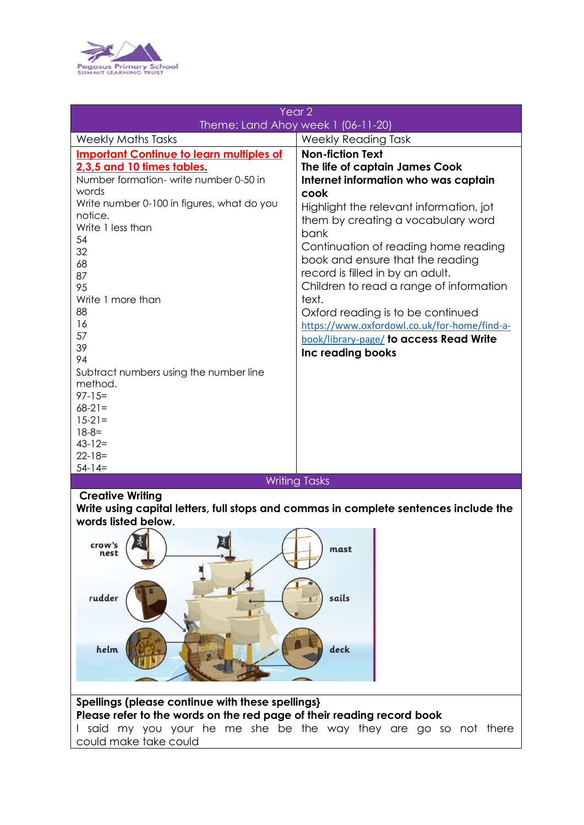

| Year <sub>2</sub>                                                   |                                                                                   |
|---------------------------------------------------------------------|-----------------------------------------------------------------------------------|
| Theme: Land Ahoy week 1 (06-11-20)                                  |                                                                                   |
| <b>Weekly Maths Tasks</b>                                           | <b>Weekly Reading Task</b>                                                        |
| <b>Important Continue to learn multiples of</b>                     | <b>Non-fiction Text</b>                                                           |
| 2,3,5 and 10 times tables.<br>Number formation-write number 0-50 in | The life of captain James Cook<br>Internet information who was captain            |
| words                                                               | cook                                                                              |
| Write number 0-100 in figures, what do you<br>notice.               | Highlight the relevant information, jot                                           |
| Write 1 less than                                                   | them by creating a vocabulary word<br>bank                                        |
| 54<br>32                                                            | Continuation of reading home reading                                              |
| 68                                                                  | book and ensure that the reading<br>record is filled in by an adult.              |
| 87<br>95                                                            | Children to read a range of information                                           |
| Write 1 more than                                                   | text.                                                                             |
| 88<br>16                                                            | Oxford reading is to be continued<br>https://www.oxfordowl.co.uk/for-home/find-a- |
| 57                                                                  | book/library-page/ to access Read Write                                           |
| 39<br>94                                                            | Inc reading books                                                                 |
| Subtract numbers using the number line<br>method.                   |                                                                                   |
| $97 - 15 =$                                                         |                                                                                   |
| $68-21=$                                                            |                                                                                   |
| $15 - 21 =$<br>$18 - 8 =$                                           |                                                                                   |
| $43 - 12 =$                                                         |                                                                                   |
| $22 - 18 =$<br>$54-14=$                                             |                                                                                   |
| <b>Writing Tasks</b>                                                |                                                                                   |
| <b>Creative Writing</b>                                             |                                                                                   |

**Write using capital letters, full stops and commas in complete sentences include the words listed below.**



## **Spellings (please continue with these spellings} Please refer to the words on the red page of their reading record book** I said my you your he me she be the way they are go so not there could make take could